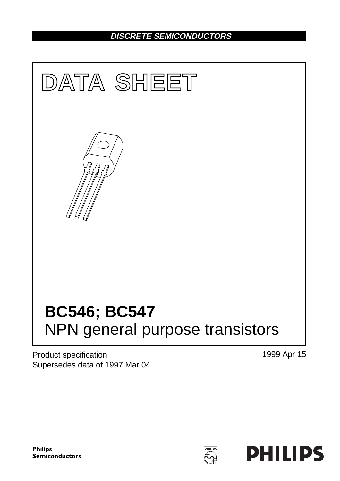## **DISCRETE SEMICONDUCTORS**



Product specification Supersedes data of 1997 Mar 04 1999 Apr 15

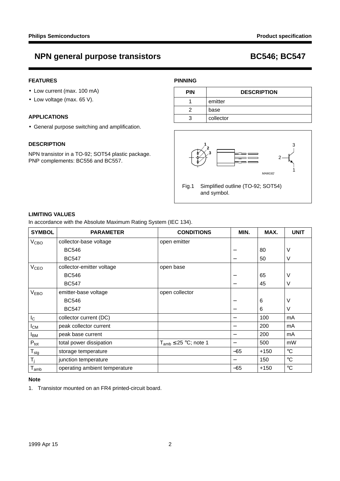## **NPN general purpose transistors BC546; BC547**

### **FEATURES**

- Low current (max. 100 mA)
- Low voltage (max. 65 V).

#### **APPLICATIONS**

• General purpose switching and amplification.

#### **DESCRIPTION**

NPN transistor in a TO-92; SOT54 plastic package. PNP complements: BC556 and BC557.

### **PINNING**

| <b>PIN</b> | <b>DESCRIPTION</b> |  |
|------------|--------------------|--|
|            | emitter            |  |
|            | base               |  |
|            | collector          |  |



### **LIMITING VALUES**

In accordance with the Absolute Maximum Rating System (IEC 134).

| <b>SYMBOL</b>    | <b>PARAMETER</b>              | <b>CONDITIONS</b>            | MIN.  | MAX.   | <b>UNIT</b>       |
|------------------|-------------------------------|------------------------------|-------|--------|-------------------|
| V <sub>CBO</sub> | collector-base voltage        | open emitter                 |       |        |                   |
|                  | <b>BC546</b>                  |                              |       | 80     | ν                 |
|                  | <b>BC547</b>                  |                              |       | 50     | ٧                 |
| V <sub>CEO</sub> | collector-emitter voltage     | open base                    |       |        |                   |
|                  | <b>BC546</b>                  |                              | —     | 65     | ν                 |
|                  | <b>BC547</b>                  |                              | —     | 45     | ν                 |
| V <sub>EBO</sub> | emitter-base voltage          | open collector               |       |        |                   |
|                  | <b>BC546</b>                  |                              |       | 6      | ٧                 |
|                  | <b>BC547</b>                  |                              |       | 6      | V                 |
| $I_{\rm C}$      | collector current (DC)        |                              | —     | 100    | mA                |
| $I_{CM}$         | peak collector current        |                              |       | 200    | mA                |
| I <sub>ВМ</sub>  | peak base current             |                              |       | 200    | mA                |
| $P_{\text{tot}}$ | total power dissipation       | $T_{amb} \leq 25$ °C; note 1 |       | 500    | mW                |
| $T_{\text{stg}}$ | storage temperature           |                              | $-65$ | +150   | $^\circ \text{C}$ |
| $T_j$            | junction temperature          |                              |       | 150    | $^\circ \text{C}$ |
| $T_{amb}$        | operating ambient temperature |                              | -65   | $+150$ | $\rm ^{\circ}C$   |

#### **Note**

1. Transistor mounted on an FR4 printed-circuit board.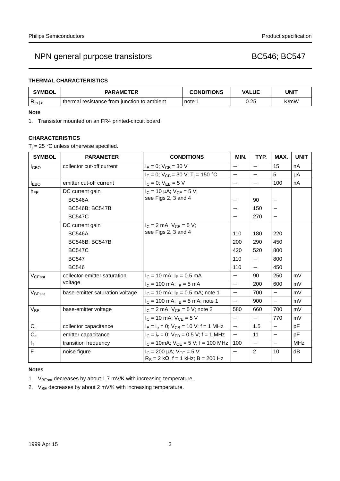## NPN general purpose transistors and a set of the BC546; BC547

### **THERMAL CHARACTERISTICS**

| <b>SYMBOL</b> | <b>PARAMETER</b>                            | <b>CONDITIONS</b> | <b>VALUE</b> | UNIT |  |
|---------------|---------------------------------------------|-------------------|--------------|------|--|
| $R_{th i-a}$  | thermal resistance from junction to ambient | note              | 0.25         | K/mW |  |

#### **Note**

1. Transistor mounted on an FR4 printed-circuit board.

### **CHARACTERISTICS**

 $T_i = 25$  °C unless otherwise specified.

| <b>SYMBOL</b>      | <b>PARAMETER</b>                | <b>CONDITIONS</b>                                                                 | MIN.                     | TYP.                              | MAX.                     | <b>UNIT</b> |
|--------------------|---------------------------------|-----------------------------------------------------------------------------------|--------------------------|-----------------------------------|--------------------------|-------------|
| I <sub>CBO</sub>   | collector cut-off current       | $I_E = 0$ ; $V_{CB} = 30$ V                                                       |                          |                                   | 15                       | nA          |
|                    |                                 | $I_E = 0$ ; $V_{CB} = 30$ V; $T_i = 150$ °C                                       | $\overline{\phantom{0}}$ | $\overline{\phantom{0}}$          | 5                        | μA          |
| $I_{EBO}$          | emitter cut-off current         | $I_C = 0$ ; $V_{EB} = 5 V$                                                        | $\equiv$                 | $\equiv$                          | 100                      | nA          |
| $h_{FE}$           | DC current gain                 | $I_C = 10 \mu A$ ; $V_{CE} = 5 V$ ;                                               |                          |                                   |                          |             |
|                    | <b>BC546A</b>                   | see Figs 2, 3 and 4                                                               |                          | 90                                | $\qquad \qquad -$        |             |
|                    | <b>BC546B; BC547B</b>           |                                                                                   |                          | 150                               | $\overline{\phantom{0}}$ |             |
|                    | <b>BC547C</b>                   |                                                                                   | $\overline{\phantom{0}}$ | 270                               | $\qquad \qquad -$        |             |
|                    | DC current gain                 | $I_C = 2$ mA; $V_{CE} = 5$ V;                                                     |                          |                                   |                          |             |
|                    | <b>BC546A</b>                   | see Figs 2, 3 and 4                                                               | 110                      | 180                               | 220                      |             |
|                    | <b>BC546B; BC547B</b>           |                                                                                   | 200                      | 290                               | 450                      |             |
|                    | <b>BC547C</b>                   |                                                                                   | 420                      | 520                               | 800                      |             |
|                    | <b>BC547</b>                    |                                                                                   | 110                      | $\overbrace{\phantom{123221111}}$ | 800                      |             |
|                    | <b>BC546</b>                    |                                                                                   | 110                      |                                   | 450                      |             |
| V <sub>CEsat</sub> | collector-emitter saturation    | $I_C = 10$ mA; $I_B = 0.5$ mA                                                     | $\equiv$                 | 90                                | 250                      | mV          |
|                    | voltage                         | $I_C = 100$ mA; $I_B = 5$ mA                                                      | $\qquad \qquad -$        | 200                               | 600                      | mV          |
| $V_{\text{BEsat}}$ | base-emitter saturation voltage | $I_C = 10$ mA; $I_B = 0.5$ mA; note 1                                             | $\overline{\phantom{0}}$ | 700                               | $\qquad \qquad -$        | mV          |
|                    |                                 | $I_C$ = 100 mA; $I_B$ = 5 mA; note 1                                              | $\overline{\phantom{0}}$ | 900                               |                          | mV          |
| V <sub>BE</sub>    | base-emitter voltage            | $I_C = 2$ mA; $V_{CE} = 5$ V; note 2                                              | 580                      | 660                               | 700                      | mV          |
|                    |                                 | $I_C = 10$ mA; $V_{CF} = 5$ V                                                     | $\equiv$                 |                                   | 770                      | mV          |
| $C_c$              | collector capacitance           | $I_E = I_e = 0$ ; $V_{CB} = 10$ V; f = 1 MHz                                      | $\equiv$                 | 1.5                               | $\overline{\phantom{0}}$ | pF          |
| $C_{e}$            | emitter capacitance             | $I_C = I_c = 0$ ; $V_{EB} = 0.5$ V; f = 1 MHz                                     | $\equiv$                 | 11                                | $\overline{\phantom{0}}$ | pF          |
| $f_T$              | transition frequency            | $I_C = 10 \text{mA}$ ; $V_{CE} = 5 \text{ V}$ ; f = 100 MHz                       | 100                      | $\qquad \qquad -$                 | $\overline{\phantom{0}}$ | <b>MHz</b>  |
| F                  | noise figure                    | $I_C = 200 \mu A$ ; $V_{CE} = 5 V$ ;<br>$R_S = 2 k\Omega$ ; f = 1 kHz; B = 200 Hz |                          | $\overline{2}$                    | 10                       | dB          |

#### **Notes**

- 1. V<sub>BEsat</sub> decreases by about 1.7 mV/K with increasing temperature.
- 2.  $V_{BE}$  decreases by about 2 mV/K with increasing temperature.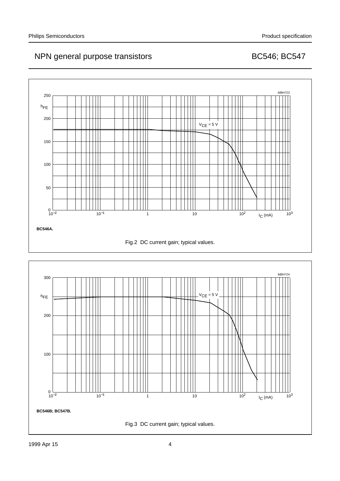## NPN general purpose transistors and the control of the BC546; BC547



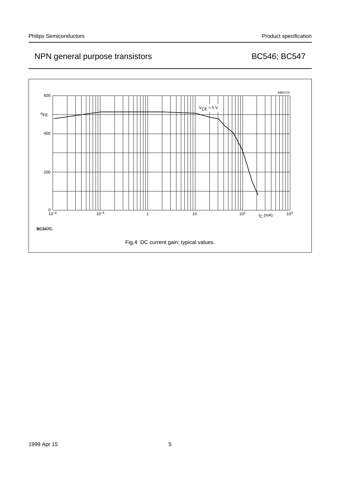## NPN general purpose transistors and the control of the BC546; BC547

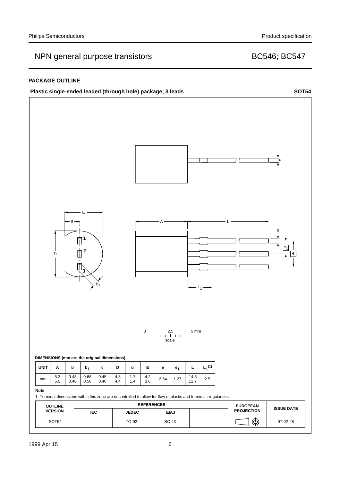## NPN general purpose transistors and a set of the BC546; BC547

### **PACKAGE OUTLINE**



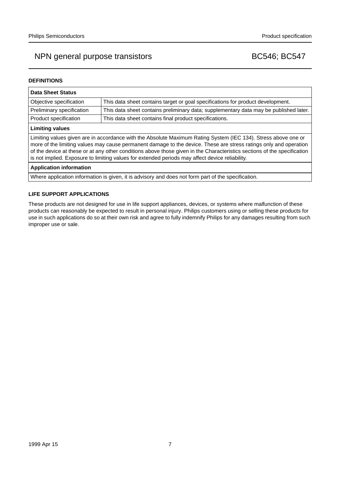## NPN general purpose transistors and the control of the BC546; BC547

### **DEFINITIONS**

| <b>Data Sheet Status</b>                                                                                                                                                                                                                                                                                                                                                                                                                                           |                                                                                       |  |  |
|--------------------------------------------------------------------------------------------------------------------------------------------------------------------------------------------------------------------------------------------------------------------------------------------------------------------------------------------------------------------------------------------------------------------------------------------------------------------|---------------------------------------------------------------------------------------|--|--|
| Objective specification                                                                                                                                                                                                                                                                                                                                                                                                                                            | This data sheet contains target or goal specifications for product development.       |  |  |
| Preliminary specification                                                                                                                                                                                                                                                                                                                                                                                                                                          | This data sheet contains preliminary data; supplementary data may be published later. |  |  |
| Product specification                                                                                                                                                                                                                                                                                                                                                                                                                                              | This data sheet contains final product specifications.                                |  |  |
| <b>Limiting values</b>                                                                                                                                                                                                                                                                                                                                                                                                                                             |                                                                                       |  |  |
| Limiting values given are in accordance with the Absolute Maximum Rating System (IEC 134). Stress above one or<br>more of the limiting values may cause permanent damage to the device. These are stress ratings only and operation<br>of the device at these or at any other conditions above those given in the Characteristics sections of the specification<br>is not implied. Exposure to limiting values for extended periods may affect device reliability. |                                                                                       |  |  |
| <b>Application information</b>                                                                                                                                                                                                                                                                                                                                                                                                                                     |                                                                                       |  |  |
|                                                                                                                                                                                                                                                                                                                                                                                                                                                                    |                                                                                       |  |  |

Where application information is given, it is advisory and does not form part of the specification.

### **LIFE SUPPORT APPLICATIONS**

These products are not designed for use in life support appliances, devices, or systems where malfunction of these products can reasonably be expected to result in personal injury. Philips customers using or selling these products for use in such applications do so at their own risk and agree to fully indemnify Philips for any damages resulting from such improper use or sale.